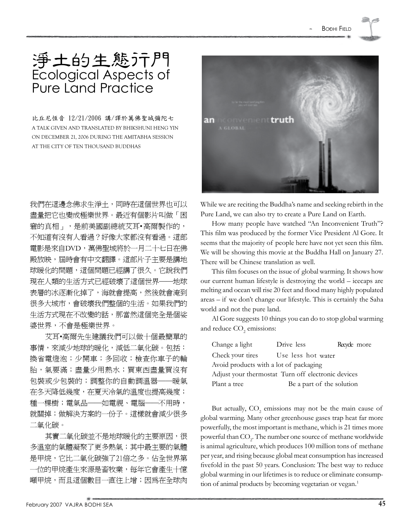## 淨土的生態行門 Ecological Aspects of Pure Land Practice

比丘尼恆音 12/21/2006 講/譯於萬佛聖城彌陀七 a talk given and translated by bhikshuni heng yin on december 21, 2006 during the amitabha session at the city of ten thousand buddhas

我們在這邊念佛求生淨土,同時在這個世界也可以 盡量把它也變成極樂世界。最近有個影片叫做「困 窘的真相」,是前美國副總統艾耳• 高爾製作的, 不知道有沒有人看過?好像大家都沒有看過。這部 電影是來自DVD,萬佛聖城將於一月二十七日在佛 殿放映,屆時會有中文翻譯。這部片子主要是講地 球暖化的問題,這個問題已經講了很久。它說我們 現在人類的生活方式已經破壞了這個世界──地球 表層的冰逐漸化掉了,海就會提高,然後就會淹到 很多大城市,會破壞我們整個的生活。如果我們的 生活方式現在不改變的話,那當然這個完全是個娑 婆世界,不會是極樂世界。

艾耳•高爾先生建議我們可以做十個最簡單的 事情,來減少地球的暖化,減低二氧化碳。包括: 換省電燈泡;少開車;多回收;檢查你車子的輪 胎,氣要滿;盡量少用熱水;買東西盡量買沒有 包裝或少包裝的;調整你的自動調溫器──暖氣 在冬天降低幾度,在夏天冷氣的溫度也提高幾度; 種一棵樹;電氣品──如電視、電腦──不用時, 就關掉;做解決方案的一份子。這樣就會減少很多 二氧化碳。

其實二氧化碳並不是地球暖化的主要原因,很 多溫室的氣體凝聚了更多熱氣;其中最主要的氣體 是甲烷,它比二氧化碳強了21倍之多。佔全世界第 一位的甲烷產生來源是畜牧業,每年它會產生十億 噸甲烷,而且這個數目一直往上增;因為在全球肉



While we are reciting the Buddha's name and seeking rebirth in the Pure Land, we can also try to create a Pure Land on Earth.

How many people have watched "An Inconvenient Truth"? This film was produced by the former Vice President Al Gore. It seems that the majority of people here have not yet seen this film. We will be showing this movie at the Buddha Hall on January 27. There will be Chinese translation as well.

This film focuses on the issue of global warming. It shows how our current human lifestyle is destroying the world – icecaps are melting and ocean will rise 20 feet and flood many highly populated areas – if we don't change our lifestyle. This is certainly the Saha world and not the pure land.

Al Gore suggests 10 things you can do to stop global warming and reduce CO<sub>2</sub> emissions:

| Change a light                                     | Drive less                | Recycle more |  |
|----------------------------------------------------|---------------------------|--------------|--|
| Check your tires                                   | Use less hot water        |              |  |
| Avoid products with a lot of packaging             |                           |              |  |
| Adjust your thermostat Turn off electronic devices |                           |              |  |
| Plant a tree                                       | Be a part of the solution |              |  |

But actually,  $CO<sub>2</sub>$  emissions may not be the main cause of global warming. Many other greenhouse gases trap heat far more powerfully, the most important is methane, which is 21 times more powerful than  $\mathrm{CO}_2$ . The number one source of methane worldwide is animal agriculture, which produces 100 million tons of methane per year, and rising because global meat consumption hasincreased fivefold in the past 50 years. Conclusion: The best way to reduce global warming in our lifetimes is to reduce or eliminate consumption of animal products by becoming vegetarian or vegan.<sup>1</sup>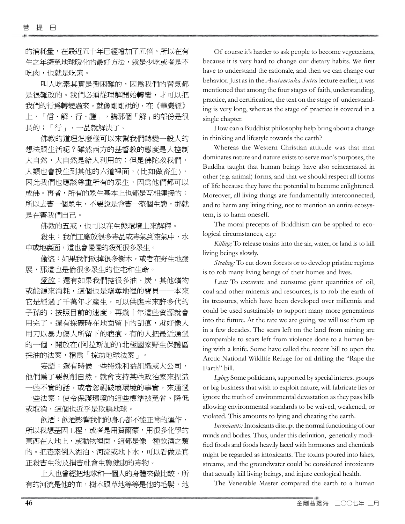的消耗量,在最近五十年已經增加了五倍。所以在有 生之年避免地球暖化的最好方法,就是少吃或者是不 吃肉,也就是吃素。

叫人吃素其實是蠻困難的,因為我們的習氣都 是很難改的。我們必須從理解開始轉變,才可以把 我們的行爲轉變過來。就像剛剛說的,在《華嚴經》 上,「信、解、行、證」,講那個「解」的部份是很 長的;「行」,一品就解決了。

佛教的道理怎麼樣可以來幫我們轉變一般人的 想法跟生活呢?雖然西方的基督教的態度是人控制 大自然,大自然是給人利用的;但是佛陀教我們, 人類也會投生到其他的六道裡面,(比如做畜生), 因此我們也應該尊重所有的眾生,因為他們都可以 成佛。再者,所有的眾生基本上也都是互相連接的; 所以去害一個眾生,不要說是會害一整個生態,那就 是在害我們自己。

佛教的五戒,也可以在生態環境上來解釋。

殺生:我們工廠放很多毒品或毒氣到空氣中,水 中或地裏面,這也會慢慢的殺死很多眾生。

偷盜:如果我們砍掉很多樹木,或者在野生地發 展,那這也是偷很多眾生的住宅和生命。

愛欲:還有如果我們挖很多油、炭,其他礦物 或能源來消耗,這個也是竊奪地裡的寶貝──本來 它是經過了千萬年才產生,可以供應未來許多代的 子孫的;按照目前的速度,再幾十年這些資源就會 用完了。還有採礦時在地面留下的刮痕,就好像人 用刀以暴力傷人所留下的疤痕。有的人把最近通過 的一個,開放在(阿拉斯加的)北極國家野生保護區 採油的法案,稱為「掠劫地球法案」。

妄語:還有時候一些特殊利益組織或大公司, 他們為了要剝削自然,就會支持某些政治家來捏造 一些不實的話,或者忽視破壞環境的事實,來通過 一些法案;使令保護環境的這些標準被免省、降低 或取消,這個也近乎是欺騙地球。

飲酒:飲酒影響我們的身心都不能正常的運作, 所以我想基因工程,或者是用賀爾蒙,用很多化學的 東西在大地上,或動物裡面,這都是像一種飲酒之類 的。把毒素倒入湖泊、河流或地下水,可以看做是真 正殺害生物及損害社會生態健康的毒物。

上人也曾經把地球和一個人的身體來做比較,所 有的河流是他的血,樹木跟草地等等是他的毛髮,地

Of course it's harder to ask people to become vegetarians, because it is very hard to change our dietary habits. We first have to understand the rationale, and then we can change our behavior. Just as in the *Avatamsaka Sutra* lecture earlier, it was mentioned that among the four stages of faith, understanding, practice, and certification, the text on the stage of understanding is very long, whereas the stage of practice is covered in a single chapter.

How can a Buddhist philosophy help bring about a change in thinking and lifestyle towards the earth?

Whereas the Western Christian attitude was that man dominates nature and nature exists to serve man's purposes, the Buddha taught that human beings have also reincarnated in other (e.g. animal) forms, and that we should respect all forms of life because they have the potential to become enlightened. Moreover, all living things are fundamentally interconnected, and to harm any living thing, not to mention an entire ecosystem, is to harm oneself.

The moral precepts of Buddhism can be applied to ecological circumstances, e.g.:

*Killing:* To release toxins into the air, water, or land is to kill living beings slowly.

*Stealing:* To cut down forests or to develop pristine regions is to rob many living beings of their homes and lives.

*Lust:* To excavate and consume giant quantities of oil, coal and other minerals and resources, is to rob the earth of its treasures, which have been developed over millennia and could be used sustainably to support many more generations into the future. At the rate we are going, we will use them up in a few decades. The scars left on the land from mining are comparable to scars left from violence done to a human being with a knife. Some have called the recent bill to open the Arctic National Wildlife Refuge for oil drilling the "Rape the Earth" bill.

Lying: Some politicians, supported by special interest groups or big business that wish to exploit nature, will fabricate lies or ignore the truth of environmental devastation asthey pass bills allowing environmental standards to be waived, weakened, or violated. This amounts to lying and cheating the earth.

*Intoxicants:* Intoxicants disrupt the normal functioning of our minds and bodies. Thus, under this definition, genetically modified foods and foods heavily laced with hormones and chemicals might be regarded as intoxicants. The toxins poured into lakes, streams, and the groundwater could be considered intoxicants that actually kill living beings, and injure ecological health.

The Venerable Master compared the earth to a human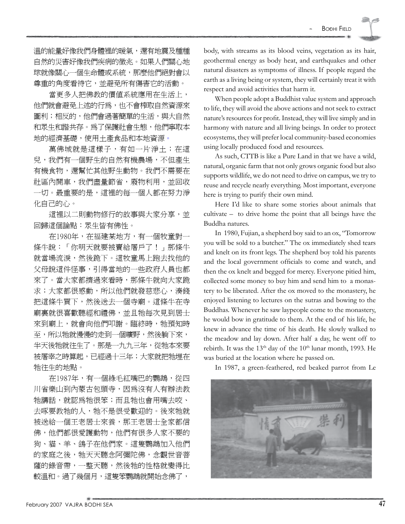溫的能量好像我們身體裡的暖氣,還有地震及種種 自然的災害好像我們疾病的徵兆。如果人們關心地 球就像關心一個生命體或系統,那麼他們絕對會以 尊重的角度看待它,並避免所有傷害它的活動。

當更多人把佛教的價值系統應用在生活上, 他們就會避免上述的行為,也不會榨取自然資源來 圖利;相反的,他們會過著簡單的生活,與大自然 和眾生和諧共存。為了保護社會生態,他們寧取本 地的經濟基礎,使用土產食品和本地資源。

萬佛城就是這樣子,有如一片淨土;在這 兒,我們有一個野生的自然有機農場,不但產生 有機食物,還幫忙其他野生動物。我們不需要在 社區內開車,我們盡量節省,廢物利用,並回收 一切。最重要的是,這裡的每一個人都在努力淨 化自己的心。

這裡以二則動物修行的故事與大家分享,並 回歸這個論點:眾生皆有佛性。

在1980年,在福建某地方,有一個牧童對一 條牛說:「你明天就要被賣給屠戶了!」那條牛 就當場流淚,然後跪下。這牧童馬上跑去找他的 父母說這件怪事,引得當地的一些政府人員也都 來了。當大家都擠過來看時,那條牛就向大家跪 求;大家都很感動,所以他們就發慈悲心,湊錢 把這條牛買下,然後送去一個寺廟。這條牛在寺 廟裏就很喜歡聽經和禮佛,並且牠每次見到居士 來到廟上,就會向他們叩謝。臨終時,牠預知時 至,所以牠就慢慢的走到一個曠野,然後躺下來, 半天後牠就往生了。那是一九九三年,從牠本來要 被屠宰之時算起,已經過十三年;大家就把牠埋在 牠往生的地點。

在1987年,有一個綠毛紅嘴巴的鸚鵡,從四 川省樂山到內蒙古包頭寺,因為沒有人有辦法教 牠講話,就認為牠很笨;而且牠也會用嘴去咬、 去啄要教牠的人,牠不是很受歡迎的。後來牠就 被送給一個王老居士來養,那王老居士全家都信 佛,他們都很愛護動物,他們有很多人家不要的 狗、貓、羊、鴿子在他們家。這隻鸚鵡加入他們 的家庭之後,牠天天聽念阿彌陀佛,念觀世音菩 薩的錄音帶,一整天聽,然後牠的性格就變得比 較溫和。過了幾個月,這隻笨鸚鵡就開始念佛了,

body, with streams as its blood veins, vegetation as its hair, geothermal energy as body heat, and earthquakes and other natural disasters as symptoms of illness. If people regard the earth as a living being or system, they will certainly treat it with respect and avoid activities that harm it.

When people adopt a Buddhist value system and approach to life, they will avoid the above actions and not seek to extract nature's resources for profit. Instead, they will live simply and in harmony with nature and all living beings. In order to protect ecosystems, they will prefer local community-based economies using locally produced food and resources.

As such, CTTB is like a Pure Land in that we have a wild, natural, organic farm that not only grows organic food but also supports wildlife, we do not need to drive on campus, we try to reuse and recycle nearly everything. Most important, everyone here is trying to purify their own mind.

Here I'd like to share some stories about animals that cultivate – to drive home the point that all beings have the Buddha natures.

In 1980, Fujian, a shepherd boy said to an ox, "Tomorrow you will be sold to a butcher." The ox immediately shed tears and knelt on its front legs. The shepherd boy told his parents and the local government officials to come and watch, and then the ox knelt and begged for mercy. Everyone pitied him, collected some money to buy him and send him to a monastery to be liberated. After the ox moved to the monastery, he enjoyed listening to lectures on the sutras and bowing to the Buddhas. Whenever he saw laypeople come to the monastery, he would bow in gratitude to them. At the end of his life, he knew in advance the time of his death. He slowly walked to the meadow and lay down. After half a day, he went off to rebirth. It was the  $13<sup>th</sup>$  day of the  $10<sup>th</sup>$  lunar month, 1993. He was buried at the location where he passed on.

In 1987, a green-feathered, red beaked parrot from Le